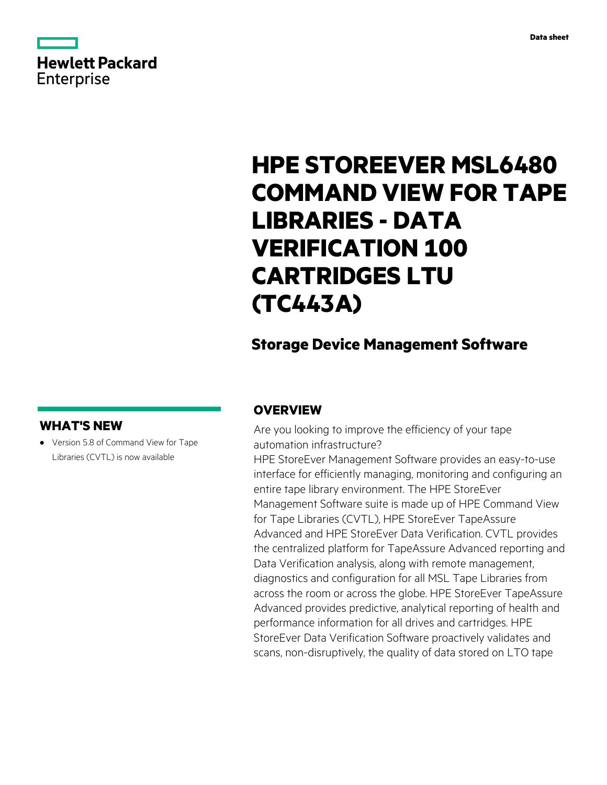|            | <b>Hewlett Packard</b> |
|------------|------------------------|
| Enterprise |                        |

# **HPE STOREEVER MSL6480 COMMAND VIEW FOR TAPE LIBRARIES - DATA VERIFICATION 100 CARTRIDGES LTU (TC443A)**

# **Storage Device Management Software**

# **WHAT'S NEW**

**·** Version 5.8 of Command View for Tape Libraries (CVTL) is now available

# **OVERVIEW**

Are you looking to improve the efficiency of your tape automation infrastructure?

HPE StoreEver Management Software provides an easy-to-use interface for efficiently managing, monitoring and configuring an entire tape library environment. The HPE StoreEver Management Software suite is made up of HPE Command View for Tape Libraries (CVTL), HPE StoreEver TapeAssure Advanced and HPE StoreEver Data Verification. CVTL provides the centralized platform for TapeAssure Advanced reporting and Data Verification analysis, along with remote management, diagnostics and configuration for all MSL Tape Libraries from across the room or across the globe. HPE StoreEver TapeAssure Advanced provides predictive, analytical reporting of health and performance information for all drives and cartridges. HPE StoreEver Data Verification Software proactively validates and scans, non-disruptively, the quality of data stored on LTO tape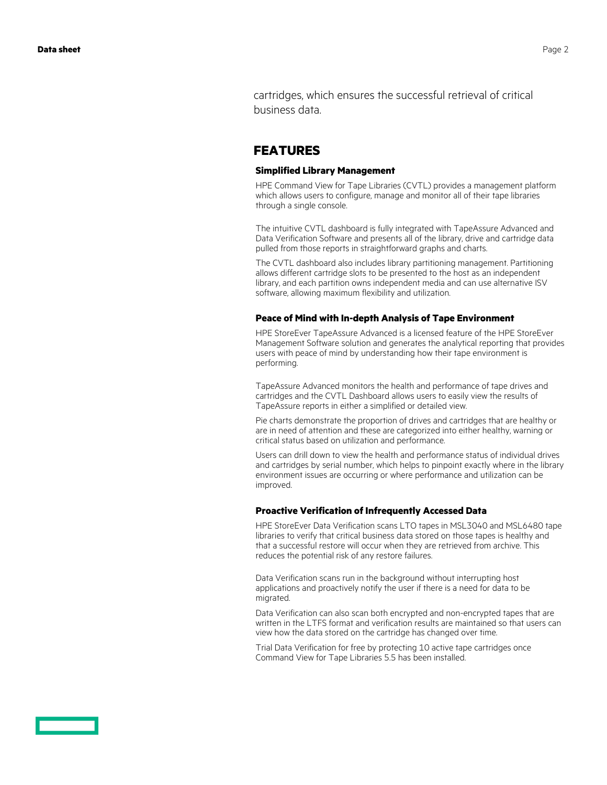cartridges, which ensures the successful retrieval of critical business data.

## **FEATURES**

#### **Simplified Library Management**

HPE Command View for Tape Libraries (CVTL) provides a management platform which allows users to configure, manage and monitor all of their tape libraries through a single console.

The intuitive CVTL dashboard is fully integrated with TapeAssure Advanced and Data Verification Software and presents all of the library, drive and cartridge data pulled from those reports in straightforward graphs and charts.

The CVTL dashboard also includes library partitioning management. Partitioning allows different cartridge slots to be presented to the host as an independent library, and each partition owns independent media and can use alternative ISV software, allowing maximum flexibility and utilization.

#### **Peace of Mind with In-depth Analysis of Tape Environment**

HPE StoreEver TapeAssure Advanced is a licensed feature of the HPE StoreEver Management Software solution and generates the analytical reporting that provides users with peace of mind by understanding how their tape environment is performing.

TapeAssure Advanced monitors the health and performance of tape drives and cartridges and the CVTL Dashboard allows users to easily view the results of TapeAssure reports in either a simplified or detailed view.

Pie charts demonstrate the proportion of drives and cartridges that are healthy or are in need of attention and these are categorized into either healthy, warning or critical status based on utilization and performance.

Users can drill down to view the health and performance status of individual drives and cartridges by serial number, which helps to pinpoint exactly where in the library environment issues are occurring or where performance and utilization can be improved.

#### **Proactive Verification of Infrequently Accessed Data**

HPE StoreEver Data Verification scans LTO tapes in MSL3040 and MSL6480 tape libraries to verify that critical business data stored on those tapes is healthy and that a successful restore will occur when they are retrieved from archive. This reduces the potential risk of any restore failures.

Data Verification scans run in the background without interrupting host applications and proactively notify the user if there is a need for data to be migrated.

Data Verification can also scan both encrypted and non-encrypted tapes that are written in the LTFS format and verification results are maintained so that users can view how the data stored on the cartridge has changed over time.

Trial Data Verification for free by protecting 10 active tape cartridges once Command View for Tape Libraries 5.5 has been installed.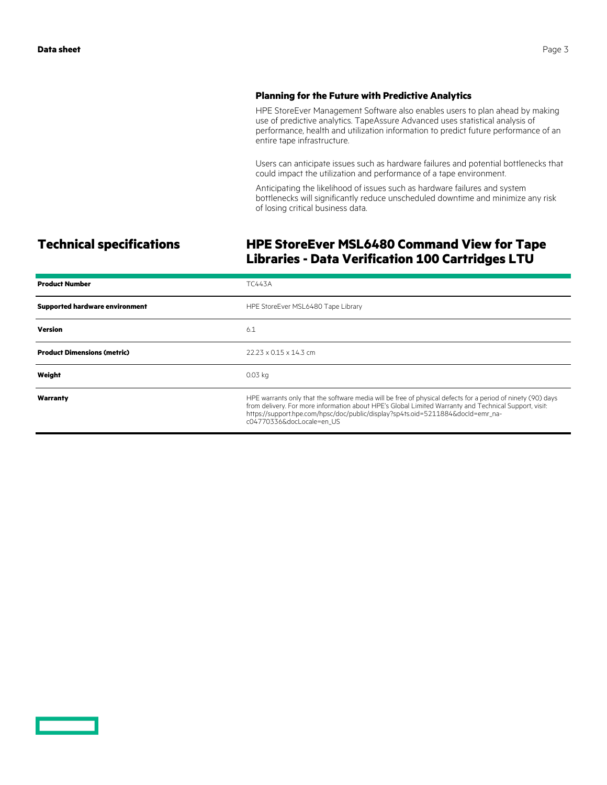#### **Planning for the Future with Predictive Analytics**

HPE StoreEver Management Software also enables users to plan ahead by making use of predictive analytics. TapeAssure Advanced uses statistical analysis of performance, health and utilization information to predict future performance of an entire tape infrastructure.

Users can anticipate issues such as hardware failures and potential bottlenecks that could impact the utilization and performance of a tape environment.

Anticipating the likelihood of issues such as hardware failures and system bottlenecks will significantly reduce unscheduled downtime and minimize any risk of losing critical business data.

# **Technical specifications HPE StoreEver MSL6480 Command View for Tape Libraries - Data Verification 100 Cartridges LTU**

| <b>Product Number</b>                 | TC443A                                                                                                                                                                                                                                                                                                                               |
|---------------------------------------|--------------------------------------------------------------------------------------------------------------------------------------------------------------------------------------------------------------------------------------------------------------------------------------------------------------------------------------|
| <b>Supported hardware environment</b> | HPE StoreEver MSL6480 Tape Library                                                                                                                                                                                                                                                                                                   |
| <b>Version</b>                        | 6.1                                                                                                                                                                                                                                                                                                                                  |
| <b>Product Dimensions (metric)</b>    | $22.23 \times 0.15 \times 14.3$ cm                                                                                                                                                                                                                                                                                                   |
| Weight                                | $0.03$ kg                                                                                                                                                                                                                                                                                                                            |
| Warranty                              | HPE warrants only that the software media will be free of physical defects for a period of ninety (90) days<br>from delivery. For more information about HPE's Global Limited Warranty and Technical Support, visit:<br>https://support.hpe.com/hpsc/doc/public/display?sp4ts.oid=5211884&docId=emr_na-<br>c04770336&docLocale=en US |